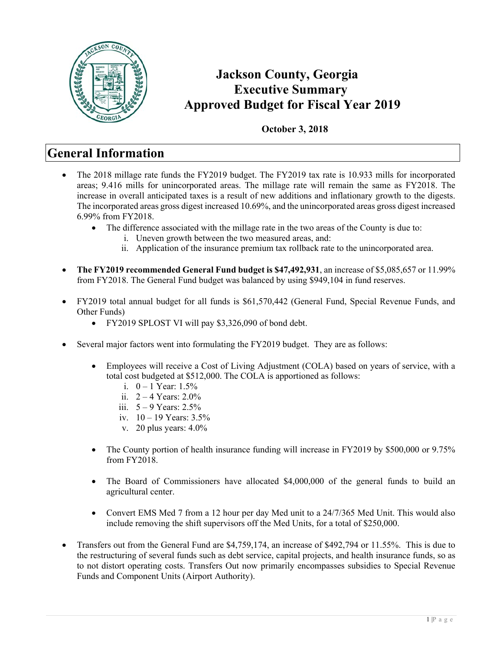

### **Jackson County, Georgia Executive Summary Approved Budget for Fiscal Year 2019**

#### **October 3, 2018**

### **General Information**

- The 2018 millage rate funds the FY2019 budget. The FY2019 tax rate is 10.933 mills for incorporated areas; 9.416 mills for unincorporated areas. The millage rate will remain the same as FY2018. The increase in overall anticipated taxes is a result of new additions and inflationary growth to the digests. The incorporated areas gross digest increased 10.69%, and the unincorporated areas gross digest increased 6.99% from FY2018.
	- The difference associated with the millage rate in the two areas of the County is due to:
		- i. Uneven growth between the two measured areas, and:
			- ii. Application of the insurance premium tax rollback rate to the unincorporated area.
- **The FY2019 recommended General Fund budget is \$47,492,931**, an increase of \$5,085,657 or 11.99% from FY2018. The General Fund budget was balanced by using \$949,104 in fund reserves.
- FY2019 total annual budget for all funds is \$61,570,442 (General Fund, Special Revenue Funds, and Other Funds)
	- FY2019 SPLOST VI will pay \$3,326,090 of bond debt.
- Several major factors went into formulating the FY2019 budget. They are as follows:
	- Employees will receive a Cost of Living Adjustment (COLA) based on years of service, with a total cost budgeted at \$512,000. The COLA is apportioned as follows:
		- i.  $0 1$  Year: 1.5%
		- ii.  $2 4$  Years:  $2.0\%$
		- iii.  $5 9$  Years:  $2.5\%$
		- iv.  $10 19$  Years:  $3.5%$
		- v. 20 plus years: 4.0%
	- The County portion of health insurance funding will increase in FY2019 by \$500,000 or 9.75% from FY2018.
	- The Board of Commissioners have allocated \$4,000,000 of the general funds to build an agricultural center.
	- Convert EMS Med 7 from a 12 hour per day Med unit to a 24/7/365 Med Unit. This would also include removing the shift supervisors off the Med Units, for a total of \$250,000.
- Transfers out from the General Fund are \$4,759,174, an increase of \$492,794 or 11.55%. This is due to the restructuring of several funds such as debt service, capital projects, and health insurance funds, so as to not distort operating costs. Transfers Out now primarily encompasses subsidies to Special Revenue Funds and Component Units (Airport Authority).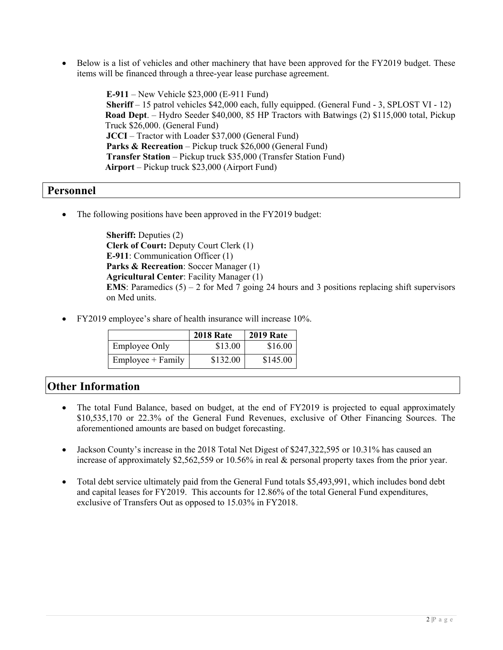• Below is a list of vehicles and other machinery that have been approved for the FY2019 budget. These items will be financed through a three-year lease purchase agreement.

> **E-911** – New Vehicle \$23,000 (E-911 Fund) **Sheriff** – 15 patrol vehicles \$42,000 each, fully equipped. (General Fund - 3, SPLOST VI - 12) **Road Dept**. – Hydro Seeder \$40,000, 85 HP Tractors with Batwings (2) \$115,000 total, Pickup Truck \$26,000. (General Fund) **JCCI** – Tractor with Loader \$37,000 (General Fund) **Parks & Recreation** – Pickup truck \$26,000 (General Fund) **Transfer Station** – Pickup truck \$35,000 (Transfer Station Fund) **Airport** – Pickup truck \$23,000 (Airport Fund)

#### **Personnel**

The following positions have been approved in the FY2019 budget:

**Sheriff:** Deputies (2) **Clerk of Court:** Deputy Court Clerk (1) **E-911**: Communication Officer (1) **Parks & Recreation**: Soccer Manager (1) **Agricultural Center**: Facility Manager (1) **EMS**: Paramedics  $(5) - 2$  for Med 7 going 24 hours and 3 positions replacing shift supervisors on Med units.

FY2019 employee's share of health insurance will increase 10%.

|                      | <b>2018 Rate</b> | <b>2019 Rate</b> |
|----------------------|------------------|------------------|
| <b>Employee Only</b> | \$13.00          | \$16.00          |
| $Employee + Family$  | \$132.00         | \$145.00         |

#### **Other Information**

- The total Fund Balance, based on budget, at the end of FY2019 is projected to equal approximately \$10,535,170 or 22.3% of the General Fund Revenues, exclusive of Other Financing Sources. The aforementioned amounts are based on budget forecasting.
- Jackson County's increase in the 2018 Total Net Digest of \$247,322,595 or 10.31% has caused an increase of approximately \$2,562,559 or 10.56% in real & personal property taxes from the prior year.
- Total debt service ultimately paid from the General Fund totals \$5,493,991, which includes bond debt and capital leases for FY2019. This accounts for 12.86% of the total General Fund expenditures, exclusive of Transfers Out as opposed to 15.03% in FY2018.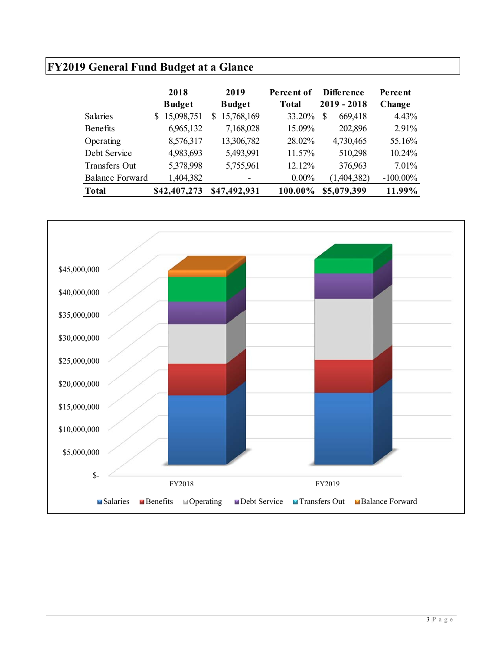# **FY2019 General Fund Budget at a Glance**

|                        | 2018<br><b>Budget</b> | 2019<br><b>Budget</b> | Percent of<br><b>Total</b> | Difference<br>2019 - 2018 | Percent<br>Change |
|------------------------|-----------------------|-----------------------|----------------------------|---------------------------|-------------------|
| <b>Salaries</b>        | 15,098,751<br>S       | 15,768,169<br>S.      | 33.20%                     | 669,418<br>S              | 4.43%             |
| <b>Benefits</b>        | 6,965,132             | 7,168,028             | 15.09%                     | 202,896                   | 2.91%             |
| Operating              | 8,576,317             | 13,306,782            | 28.02%                     | 4,730,465                 | 55.16%            |
| Debt Service           | 4,983,693             | 5,493,991             | 11.57%                     | 510,298                   | 10.24%            |
| <b>Transfers Out</b>   | 5,378,998             | 5,755,961             | 12.12%                     | 376,963                   | $7.01\%$          |
| <b>Balance Forward</b> | 1,404,382             |                       | $0.00\%$                   | (1,404,382)               | $-100.00\%$       |
| <b>Total</b>           | \$42,407,273          | \$47,492,931          | 100.00%                    | \$5,079,399               | 11.99%            |

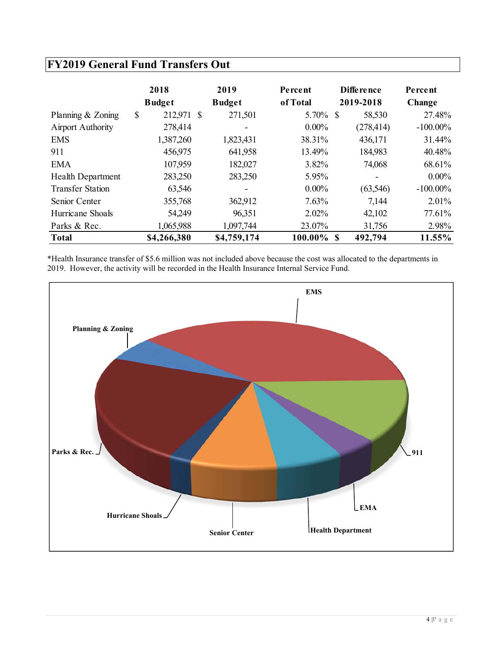### **FY2019 General Fund Transfers Out**

|                          | 2018<br><b>Budget</b> | 2019<br><b>Budget</b>    | Percent<br>of Total | Diffe rence<br>2019-2018 | Percent<br>Change |
|--------------------------|-----------------------|--------------------------|---------------------|--------------------------|-------------------|
| Planning & Zoning        | \$<br>212,971 \$      | 271,501                  | 5.70% \$            | 58,530                   | 27.48%            |
| <b>Airport Authority</b> | 278,414               | $\overline{\phantom{a}}$ | $0.00\%$            | (278, 414)               | $-100.00\%$       |
| <b>EMS</b>               | 1,387,260             | 1,823,431                | 38.31%              | 436,171                  | 31.44%            |
| 911                      | 456,975               | 641,958                  | 13.49%              | 184,983                  | 40.48%            |
| <b>EMA</b>               | 107,959               | 182,027                  | $3.82\%$            | 74,068                   | 68.61%            |
| Health Department        | 283,250               | 283,250                  | 5.95%               | $\overline{\phantom{a}}$ | $0.00\%$          |
| <b>Transfer Station</b>  | 63,546                | $\overline{\phantom{a}}$ | $0.00\%$            | (63, 546)                | $-100.00\%$       |
| Senior Center            | 355,768               | 362,912                  | 7.63%               | 7,144                    | $2.01\%$          |
| Hurricane Shoals         | 54,249                | 96,351                   | $2.02\%$            | 42,102                   | 77.61%            |
| Parks & Rec.             | 1,065,988             | 1,097,744                | 23.07%              | 31,756                   | 2.98%             |
| <b>Total</b>             | \$4,266,380           | \$4,759,174              | $100.00\%$ \$       | 492,794                  | 11.55%            |

\*Health Insurance transfer of \$5.6 million was not included above because the cost was allocated to the departments in 2019. However, the activity will be recorded in the Health Insurance Internal Service Fund.

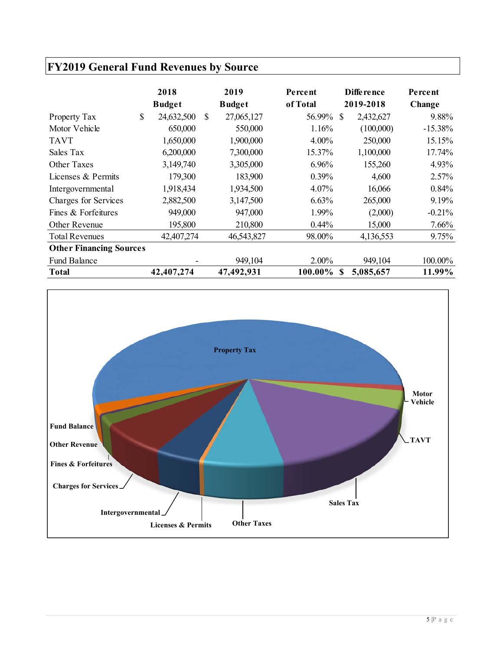# **FY2019 General Fund Revenues by Source**

|                                | 2018<br><b>Budget</b> |     | 2019<br><b>Budget</b> | <b>Percent</b><br>of Total |    | <b>Difference</b><br>2019-2018 | Percent<br>Change |
|--------------------------------|-----------------------|-----|-----------------------|----------------------------|----|--------------------------------|-------------------|
| Property Tax                   | \$<br>24,632,500      | \$. | 27,065,127            | 56.99%                     | -S | 2,432,627                      | 9.88%             |
| Motor Vehicle                  | 650,000               |     | 550,000               | 1.16%                      |    | (100,000)                      | $-15.38%$         |
| <b>TAVT</b>                    | 1,650,000             |     | 1,900,000             | $4.00\%$                   |    | 250,000                        | 15.15%            |
| Sales Tax                      | 6,200,000             |     | 7,300,000             | 15.37%                     |    | 1,100,000                      | 17.74%            |
| <b>Other Taxes</b>             | 3,149,740             |     | 3,305,000             | 6.96%                      |    | 155,260                        | 4.93%             |
| Licenses & Permits             | 179,300               |     | 183,900               | $0.39\%$                   |    | 4,600                          | $2.57\%$          |
| Intergovernmental              | 1,918,434             |     | 1,934,500             | $4.07\%$                   |    | 16,066                         | $0.84\%$          |
| Charges for Services           | 2,882,500             |     | 3,147,500             | 6.63%                      |    | 265,000                        | 9.19%             |
| Fines & Forfeitures            | 949,000               |     | 947,000               | 1.99%                      |    | (2,000)                        | $-0.21%$          |
| Other Revenue                  | 195,800               |     | 210,800               | $0.44\%$                   |    | 15,000                         | 7.66%             |
| <b>Total Revenues</b>          | 42,407,274            |     | 46,543,827            | 98.00%                     |    | 4,136,553                      | 9.75%             |
| <b>Other Financing Sources</b> |                       |     |                       |                            |    |                                |                   |
| <b>Fund Balance</b>            |                       |     | 949,104               | $2.00\%$                   |    | 949,104                        | 100.00%           |
| <b>Total</b>                   | 42,407,274            |     | 47,492,931            | 100.00%                    | -S | 5,085,657                      | 11.99%            |

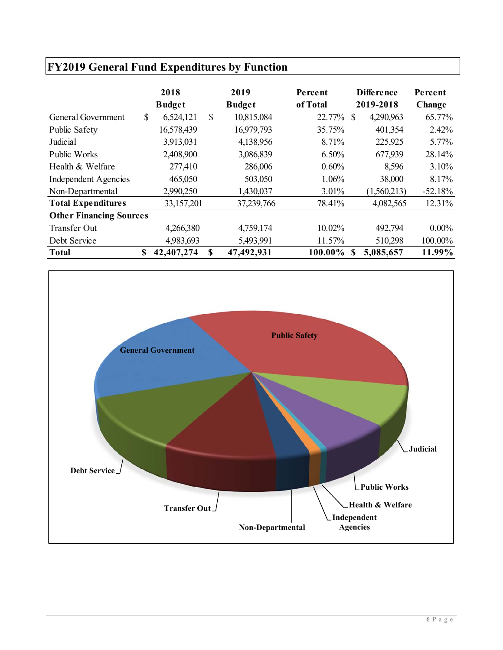|                                | <b>FY2019 General Fund Expenditures by Function</b> |                       |    |                       |                     |                           |                   |  |  |  |  |  |  |
|--------------------------------|-----------------------------------------------------|-----------------------|----|-----------------------|---------------------|---------------------------|-------------------|--|--|--|--|--|--|
|                                |                                                     | 2018<br><b>Budget</b> |    | 2019<br><b>Budget</b> | Percent<br>of Total | Diffe rence<br>2019-2018  | Percent<br>Change |  |  |  |  |  |  |
| General Government             | \$                                                  | 6,524,121             | \$ | 10,815,084            | 22.77%              | 4,290,963<br><sup>S</sup> | 65.77%            |  |  |  |  |  |  |
| Public Safety                  |                                                     | 16,578,439            |    | 16,979,793            | 35.75%              | 401,354                   | 2.42%             |  |  |  |  |  |  |
| Judicial                       |                                                     | 3,913,031             |    | 4,138,956             | 8.71%               | 225,925                   | 5.77%             |  |  |  |  |  |  |
| Public Works                   |                                                     | 2,408,900             |    | 3,086,839             | 6.50%               | 677,939                   | 28.14%            |  |  |  |  |  |  |
| Health & Welfare               |                                                     | 277,410               |    | 286,006               | 0.60%               | 8,596                     | 3.10%             |  |  |  |  |  |  |
| <b>Independent Agencies</b>    |                                                     | 465,050               |    | 503,050               | 1.06%               | 38,000                    | 8.17%             |  |  |  |  |  |  |
| Non-Departmental               |                                                     | 2,990,250             |    | 1,430,037             | 3.01%               | (1,560,213)               | $-52.18%$         |  |  |  |  |  |  |
| <b>Total Expenditures</b>      |                                                     | 33,157,201            |    | 37,239,766            | 78.41%              | 4,082,565                 | 12.31%            |  |  |  |  |  |  |
| <b>Other Financing Sources</b> |                                                     |                       |    |                       |                     |                           |                   |  |  |  |  |  |  |
| <b>Transfer Out</b>            |                                                     | 4,266,380             |    | 4,759,174             | 10.02%              | 492,794                   | $0.00\%$          |  |  |  |  |  |  |
| Debt Service                   |                                                     | 4,983,693             |    | 5,493,991             | 11.57%              | 510,298                   | 100.00%           |  |  |  |  |  |  |
| <b>Total</b>                   | S                                                   | 42,407,274            | \$ | 47,492,931            | 100.00%             | 5,085,657<br>\$.          | 11.99%            |  |  |  |  |  |  |

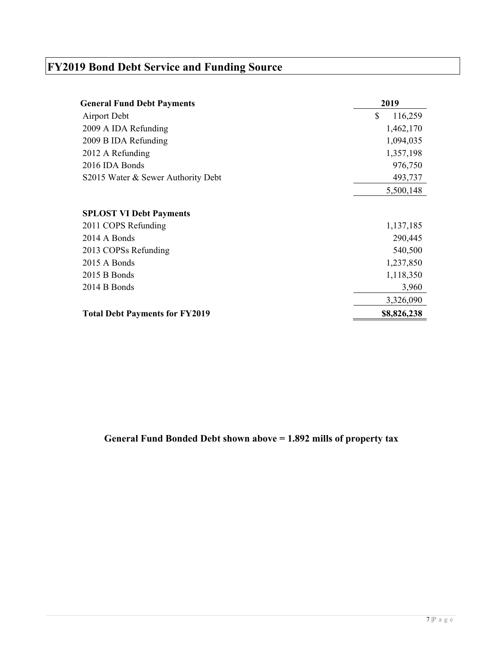# **FY2019 Bond Debt Service and Funding Source**

| <b>General Fund Debt Payments</b>     | 2019          |
|---------------------------------------|---------------|
| Airport Debt                          | \$<br>116,259 |
| 2009 A IDA Refunding                  | 1,462,170     |
| 2009 B IDA Refunding                  | 1,094,035     |
| 2012 A Refunding                      | 1,357,198     |
| 2016 IDA Bonds                        | 976,750       |
| S2015 Water & Sewer Authority Debt    | 493,737       |
|                                       | 5,500,148     |
|                                       |               |
| <b>SPLOST VI Debt Payments</b>        |               |
| 2011 COPS Refunding                   | 1,137,185     |
| 2014 A Bonds                          | 290,445       |
| 2013 COPSs Refunding                  | 540,500       |
| 2015 A Bonds                          | 1,237,850     |
| 2015 B Bonds                          | 1,118,350     |
| 2014 B Bonds                          | 3,960         |
|                                       | 3,326,090     |
| <b>Total Debt Payments for FY2019</b> | \$8,826,238   |

**General Fund Bonded Debt shown above = 1.892 mills of property tax**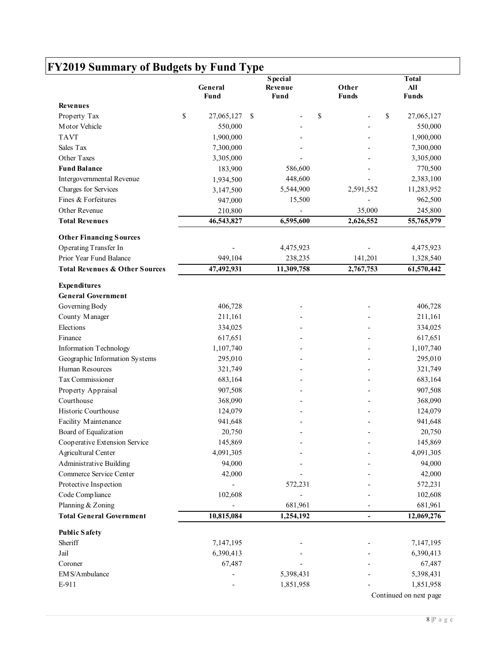| \$<br>\$<br>27,065,127<br>\$<br>\$<br>550,000<br>1,900,000<br>7,300,000<br>3,305,000<br>183,900<br>586,600<br>448,600<br>1,934,500<br>5,544,900<br>2,591,552<br>3,147,500<br>15,500<br>947,000<br>35,000<br>210,800<br>6,595,600<br>2,626,552<br>46,543,827<br>4,475,923<br>949,104<br>238,235<br>141,201<br>47,492,931<br>11,309,758<br>2,767,753<br>406,728<br>211,161<br>334,025<br>617,651<br>1,107,740<br>295,010<br>321,749<br>683,164<br>907,508<br>368,090<br>124,079<br>941,648<br>20,750<br>145,869<br>4,091,305<br>94,000<br>42,000<br>572,231<br>102,608<br>681,961<br>10,815,084<br>1,254,192<br>7,147,195<br>6,390,413<br>67,487<br>5,398,431<br>1,851,958 |                                           | General<br>Fund | <b>Special</b><br>Revenue<br>Fund | Other<br><b>Funds</b> | <b>Total</b><br>All<br><b>Funds</b> |
|--------------------------------------------------------------------------------------------------------------------------------------------------------------------------------------------------------------------------------------------------------------------------------------------------------------------------------------------------------------------------------------------------------------------------------------------------------------------------------------------------------------------------------------------------------------------------------------------------------------------------------------------------------------------------|-------------------------------------------|-----------------|-----------------------------------|-----------------------|-------------------------------------|
| Planning & Zoning                                                                                                                                                                                                                                                                                                                                                                                                                                                                                                                                                                                                                                                        | <b>Revenues</b>                           |                 |                                   |                       |                                     |
|                                                                                                                                                                                                                                                                                                                                                                                                                                                                                                                                                                                                                                                                          | Property Tax                              |                 |                                   |                       | 27,065,127                          |
|                                                                                                                                                                                                                                                                                                                                                                                                                                                                                                                                                                                                                                                                          | Motor Vehicle                             |                 |                                   |                       | 550,000                             |
|                                                                                                                                                                                                                                                                                                                                                                                                                                                                                                                                                                                                                                                                          | <b>TAVT</b>                               |                 |                                   |                       | 1,900,000                           |
|                                                                                                                                                                                                                                                                                                                                                                                                                                                                                                                                                                                                                                                                          | Sales Tax                                 |                 |                                   |                       | 7,300,000                           |
|                                                                                                                                                                                                                                                                                                                                                                                                                                                                                                                                                                                                                                                                          | Other Taxes                               |                 |                                   |                       | 3,305,000                           |
|                                                                                                                                                                                                                                                                                                                                                                                                                                                                                                                                                                                                                                                                          | <b>Fund Balance</b>                       |                 |                                   |                       | 770,500                             |
|                                                                                                                                                                                                                                                                                                                                                                                                                                                                                                                                                                                                                                                                          | Intergovernmental Revenue                 |                 |                                   |                       | 2,383,100                           |
|                                                                                                                                                                                                                                                                                                                                                                                                                                                                                                                                                                                                                                                                          | Charges for Services                      |                 |                                   |                       | 11,283,952                          |
|                                                                                                                                                                                                                                                                                                                                                                                                                                                                                                                                                                                                                                                                          | Fines & Forfeitures                       |                 |                                   |                       | 962,500                             |
|                                                                                                                                                                                                                                                                                                                                                                                                                                                                                                                                                                                                                                                                          | Other Revenue                             |                 |                                   |                       | 245,800                             |
|                                                                                                                                                                                                                                                                                                                                                                                                                                                                                                                                                                                                                                                                          | <b>Total Revenues</b>                     |                 |                                   |                       | 55,765,979                          |
|                                                                                                                                                                                                                                                                                                                                                                                                                                                                                                                                                                                                                                                                          | <b>Other Financing Sources</b>            |                 |                                   |                       |                                     |
|                                                                                                                                                                                                                                                                                                                                                                                                                                                                                                                                                                                                                                                                          | Operating Transfer In                     |                 |                                   |                       | 4,475,923                           |
|                                                                                                                                                                                                                                                                                                                                                                                                                                                                                                                                                                                                                                                                          | Prior Year Fund Balance                   |                 |                                   |                       | 1,328,540                           |
|                                                                                                                                                                                                                                                                                                                                                                                                                                                                                                                                                                                                                                                                          | <b>Total Revenues &amp; Other Sources</b> |                 |                                   |                       | 61,570,442                          |
|                                                                                                                                                                                                                                                                                                                                                                                                                                                                                                                                                                                                                                                                          | <b>Expenditures</b>                       |                 |                                   |                       |                                     |
|                                                                                                                                                                                                                                                                                                                                                                                                                                                                                                                                                                                                                                                                          | <b>General Government</b>                 |                 |                                   |                       |                                     |
|                                                                                                                                                                                                                                                                                                                                                                                                                                                                                                                                                                                                                                                                          | Governing Body                            |                 |                                   |                       | 406,728                             |
|                                                                                                                                                                                                                                                                                                                                                                                                                                                                                                                                                                                                                                                                          | County Manager                            |                 |                                   |                       | 211,161                             |
|                                                                                                                                                                                                                                                                                                                                                                                                                                                                                                                                                                                                                                                                          | Elections                                 |                 |                                   |                       | 334,025                             |
|                                                                                                                                                                                                                                                                                                                                                                                                                                                                                                                                                                                                                                                                          | Finance                                   |                 |                                   |                       | 617,651                             |
|                                                                                                                                                                                                                                                                                                                                                                                                                                                                                                                                                                                                                                                                          | Information Technology                    |                 |                                   |                       | 1,107,740                           |
|                                                                                                                                                                                                                                                                                                                                                                                                                                                                                                                                                                                                                                                                          | Geographic Information Systems            |                 |                                   |                       | 295,010                             |
|                                                                                                                                                                                                                                                                                                                                                                                                                                                                                                                                                                                                                                                                          | Human Resources                           |                 |                                   |                       | 321,749                             |
|                                                                                                                                                                                                                                                                                                                                                                                                                                                                                                                                                                                                                                                                          | Tax Commissioner                          |                 |                                   |                       | 683,164                             |
|                                                                                                                                                                                                                                                                                                                                                                                                                                                                                                                                                                                                                                                                          | Property Appraisal                        |                 |                                   |                       | 907,508                             |
|                                                                                                                                                                                                                                                                                                                                                                                                                                                                                                                                                                                                                                                                          | Courthouse                                |                 |                                   |                       | 368,090                             |
|                                                                                                                                                                                                                                                                                                                                                                                                                                                                                                                                                                                                                                                                          | Historic Courthouse                       |                 |                                   |                       | 124,079                             |
|                                                                                                                                                                                                                                                                                                                                                                                                                                                                                                                                                                                                                                                                          | Facility Maintenance                      |                 |                                   |                       | 941,648                             |
|                                                                                                                                                                                                                                                                                                                                                                                                                                                                                                                                                                                                                                                                          | Board of Equalization                     |                 |                                   |                       | 20,750                              |
|                                                                                                                                                                                                                                                                                                                                                                                                                                                                                                                                                                                                                                                                          | Cooperative Extension Service             |                 |                                   |                       | 145,869                             |
|                                                                                                                                                                                                                                                                                                                                                                                                                                                                                                                                                                                                                                                                          | Agricultural Center                       |                 |                                   |                       | 4,091,305                           |
|                                                                                                                                                                                                                                                                                                                                                                                                                                                                                                                                                                                                                                                                          | <b>Administrative Building</b>            |                 |                                   |                       | 94,000                              |
|                                                                                                                                                                                                                                                                                                                                                                                                                                                                                                                                                                                                                                                                          | Commerce Service Center                   |                 |                                   |                       | 42,000                              |
|                                                                                                                                                                                                                                                                                                                                                                                                                                                                                                                                                                                                                                                                          | Protective Inspection                     |                 |                                   |                       | 572,231                             |
|                                                                                                                                                                                                                                                                                                                                                                                                                                                                                                                                                                                                                                                                          | Code Compliance                           |                 |                                   |                       | 102,608                             |
|                                                                                                                                                                                                                                                                                                                                                                                                                                                                                                                                                                                                                                                                          |                                           |                 |                                   |                       | 681,961                             |
|                                                                                                                                                                                                                                                                                                                                                                                                                                                                                                                                                                                                                                                                          | <b>Total General Government</b>           |                 |                                   |                       | 12,069,276                          |
|                                                                                                                                                                                                                                                                                                                                                                                                                                                                                                                                                                                                                                                                          | <b>Public Safety</b>                      |                 |                                   |                       |                                     |
|                                                                                                                                                                                                                                                                                                                                                                                                                                                                                                                                                                                                                                                                          | Sheriff                                   |                 |                                   |                       | 7,147,195                           |
|                                                                                                                                                                                                                                                                                                                                                                                                                                                                                                                                                                                                                                                                          | Jail                                      |                 |                                   |                       | 6,390,413                           |
|                                                                                                                                                                                                                                                                                                                                                                                                                                                                                                                                                                                                                                                                          | Coroner                                   |                 |                                   |                       | 67,487                              |
|                                                                                                                                                                                                                                                                                                                                                                                                                                                                                                                                                                                                                                                                          | EM S/Ambulance                            |                 |                                   |                       | 5,398,431                           |
|                                                                                                                                                                                                                                                                                                                                                                                                                                                                                                                                                                                                                                                                          | E-911                                     |                 |                                   |                       | 1,851,958                           |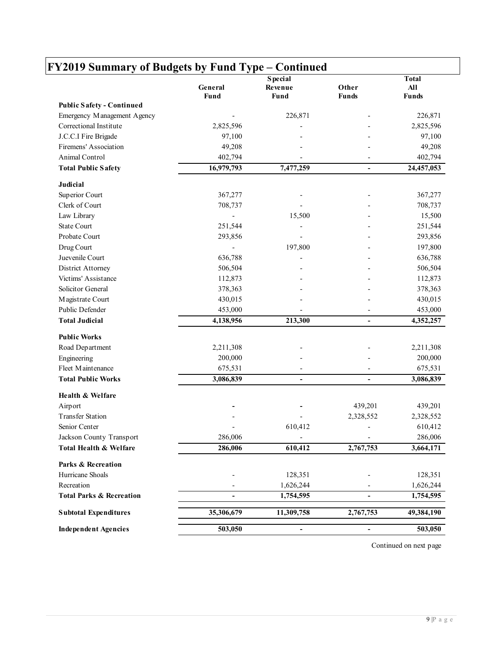| Other<br>All<br>General<br>Revenue<br>Fund<br>Fund<br><b>Funds</b><br><b>Funds</b><br>226,871<br>2,825,596<br>2,825,596<br>97,100<br>49,208<br>402,794<br>402,794<br>16,979,793<br>7,477,259<br>24,457,053<br>$\blacksquare$<br>367,277<br>708,737<br>15,500<br>251,544<br>293,856<br>197,800<br>636,788<br>506,504<br>112,873<br>378,363<br>430,015<br>453,000<br>213,300<br>4,138,956<br>$\blacksquare$<br>2,211,308<br>200,000<br>675,531<br>3,086,839<br>$\overline{\phantom{0}}$<br>$\overline{\phantom{a}}$<br>439,201<br>2,328,552<br>610,412<br>$\overline{\phantom{a}}$<br>286,006<br>610,412<br>2,767,753<br>286,006<br>128,351<br>1,626,244<br>1,754,595<br>$\blacksquare$<br>$\overline{\phantom{a}}$<br>35,306,679<br>11,309,758<br>2,767,753                                                                                    |                             |         | <b>Special</b>               |                | <b>Total</b> |
|-----------------------------------------------------------------------------------------------------------------------------------------------------------------------------------------------------------------------------------------------------------------------------------------------------------------------------------------------------------------------------------------------------------------------------------------------------------------------------------------------------------------------------------------------------------------------------------------------------------------------------------------------------------------------------------------------------------------------------------------------------------------------------------------------------------------------------------------------|-----------------------------|---------|------------------------------|----------------|--------------|
| <b>Public Safety - Continued</b><br>Emergency Management Agency<br>Correctional Institute<br>J.C.C.I Fire Brigade<br>Firemens' Association<br>Animal Control<br><b>Total Public Safety</b><br>Judicial<br>Superior Court<br>Clerk of Court<br>Law Library<br><b>State Court</b><br>Probate Court<br>Drug Court<br>Juevenile Court<br>District Attorney<br>Victims' Assistance<br>Solicitor General<br>Magistrate Court<br>Public Defender<br><b>Total Judicial</b><br><b>Public Works</b><br>Road Department<br>Engineering<br>Fleet Maintenance<br><b>Total Public Works</b><br>Health & Welfare<br>Airport<br><b>Transfer Station</b><br>Senior Center<br>Jackson County Transport<br>Total Health & Welfare<br>Parks & Recreation<br>Hurricane Shoals<br>Recreation<br><b>Total Parks &amp; Recreation</b><br><b>Subtotal Expenditures</b> |                             |         |                              |                |              |
|                                                                                                                                                                                                                                                                                                                                                                                                                                                                                                                                                                                                                                                                                                                                                                                                                                               |                             |         |                              |                |              |
|                                                                                                                                                                                                                                                                                                                                                                                                                                                                                                                                                                                                                                                                                                                                                                                                                                               |                             |         |                              |                | 226,871      |
|                                                                                                                                                                                                                                                                                                                                                                                                                                                                                                                                                                                                                                                                                                                                                                                                                                               |                             |         |                              |                |              |
|                                                                                                                                                                                                                                                                                                                                                                                                                                                                                                                                                                                                                                                                                                                                                                                                                                               |                             |         |                              |                | 97,100       |
|                                                                                                                                                                                                                                                                                                                                                                                                                                                                                                                                                                                                                                                                                                                                                                                                                                               |                             |         |                              |                | 49,208       |
|                                                                                                                                                                                                                                                                                                                                                                                                                                                                                                                                                                                                                                                                                                                                                                                                                                               |                             |         |                              |                |              |
|                                                                                                                                                                                                                                                                                                                                                                                                                                                                                                                                                                                                                                                                                                                                                                                                                                               |                             |         |                              |                |              |
|                                                                                                                                                                                                                                                                                                                                                                                                                                                                                                                                                                                                                                                                                                                                                                                                                                               |                             |         |                              |                |              |
|                                                                                                                                                                                                                                                                                                                                                                                                                                                                                                                                                                                                                                                                                                                                                                                                                                               |                             |         |                              |                |              |
|                                                                                                                                                                                                                                                                                                                                                                                                                                                                                                                                                                                                                                                                                                                                                                                                                                               |                             |         |                              |                | 367,277      |
|                                                                                                                                                                                                                                                                                                                                                                                                                                                                                                                                                                                                                                                                                                                                                                                                                                               |                             |         |                              |                | 708,737      |
|                                                                                                                                                                                                                                                                                                                                                                                                                                                                                                                                                                                                                                                                                                                                                                                                                                               |                             |         |                              |                | 15,500       |
|                                                                                                                                                                                                                                                                                                                                                                                                                                                                                                                                                                                                                                                                                                                                                                                                                                               |                             |         |                              |                | 251,544      |
|                                                                                                                                                                                                                                                                                                                                                                                                                                                                                                                                                                                                                                                                                                                                                                                                                                               |                             |         |                              |                | 293,856      |
|                                                                                                                                                                                                                                                                                                                                                                                                                                                                                                                                                                                                                                                                                                                                                                                                                                               |                             |         |                              |                | 197,800      |
|                                                                                                                                                                                                                                                                                                                                                                                                                                                                                                                                                                                                                                                                                                                                                                                                                                               |                             |         |                              |                | 636,788      |
|                                                                                                                                                                                                                                                                                                                                                                                                                                                                                                                                                                                                                                                                                                                                                                                                                                               |                             |         |                              |                | 506,504      |
|                                                                                                                                                                                                                                                                                                                                                                                                                                                                                                                                                                                                                                                                                                                                                                                                                                               |                             |         |                              |                | 112,873      |
|                                                                                                                                                                                                                                                                                                                                                                                                                                                                                                                                                                                                                                                                                                                                                                                                                                               |                             |         |                              |                | 378,363      |
|                                                                                                                                                                                                                                                                                                                                                                                                                                                                                                                                                                                                                                                                                                                                                                                                                                               |                             |         |                              |                | 430,015      |
|                                                                                                                                                                                                                                                                                                                                                                                                                                                                                                                                                                                                                                                                                                                                                                                                                                               |                             |         |                              |                | 453,000      |
|                                                                                                                                                                                                                                                                                                                                                                                                                                                                                                                                                                                                                                                                                                                                                                                                                                               |                             |         |                              |                | 4,352,257    |
|                                                                                                                                                                                                                                                                                                                                                                                                                                                                                                                                                                                                                                                                                                                                                                                                                                               |                             |         |                              |                |              |
|                                                                                                                                                                                                                                                                                                                                                                                                                                                                                                                                                                                                                                                                                                                                                                                                                                               |                             |         |                              |                | 2,211,308    |
|                                                                                                                                                                                                                                                                                                                                                                                                                                                                                                                                                                                                                                                                                                                                                                                                                                               |                             |         |                              |                | 200,000      |
|                                                                                                                                                                                                                                                                                                                                                                                                                                                                                                                                                                                                                                                                                                                                                                                                                                               |                             |         |                              |                | 675,531      |
|                                                                                                                                                                                                                                                                                                                                                                                                                                                                                                                                                                                                                                                                                                                                                                                                                                               |                             |         |                              |                | 3,086,839    |
|                                                                                                                                                                                                                                                                                                                                                                                                                                                                                                                                                                                                                                                                                                                                                                                                                                               |                             |         |                              |                |              |
|                                                                                                                                                                                                                                                                                                                                                                                                                                                                                                                                                                                                                                                                                                                                                                                                                                               |                             |         |                              |                | 439,201      |
|                                                                                                                                                                                                                                                                                                                                                                                                                                                                                                                                                                                                                                                                                                                                                                                                                                               |                             |         |                              |                | 2,328,552    |
|                                                                                                                                                                                                                                                                                                                                                                                                                                                                                                                                                                                                                                                                                                                                                                                                                                               |                             |         |                              |                | 610,412      |
|                                                                                                                                                                                                                                                                                                                                                                                                                                                                                                                                                                                                                                                                                                                                                                                                                                               |                             |         |                              |                | 286,006      |
|                                                                                                                                                                                                                                                                                                                                                                                                                                                                                                                                                                                                                                                                                                                                                                                                                                               |                             |         |                              |                | 3,664,171    |
|                                                                                                                                                                                                                                                                                                                                                                                                                                                                                                                                                                                                                                                                                                                                                                                                                                               |                             |         |                              |                |              |
|                                                                                                                                                                                                                                                                                                                                                                                                                                                                                                                                                                                                                                                                                                                                                                                                                                               |                             |         |                              |                | 128,351      |
|                                                                                                                                                                                                                                                                                                                                                                                                                                                                                                                                                                                                                                                                                                                                                                                                                                               |                             |         |                              |                | 1,626,244    |
|                                                                                                                                                                                                                                                                                                                                                                                                                                                                                                                                                                                                                                                                                                                                                                                                                                               |                             |         |                              |                | 1,754,595    |
|                                                                                                                                                                                                                                                                                                                                                                                                                                                                                                                                                                                                                                                                                                                                                                                                                                               |                             |         |                              |                | 49,384,190   |
|                                                                                                                                                                                                                                                                                                                                                                                                                                                                                                                                                                                                                                                                                                                                                                                                                                               | <b>Independent Agencies</b> | 503,050 | $\qquad \qquad \blacksquare$ | $\blacksquare$ | 503,050      |

Continued on next page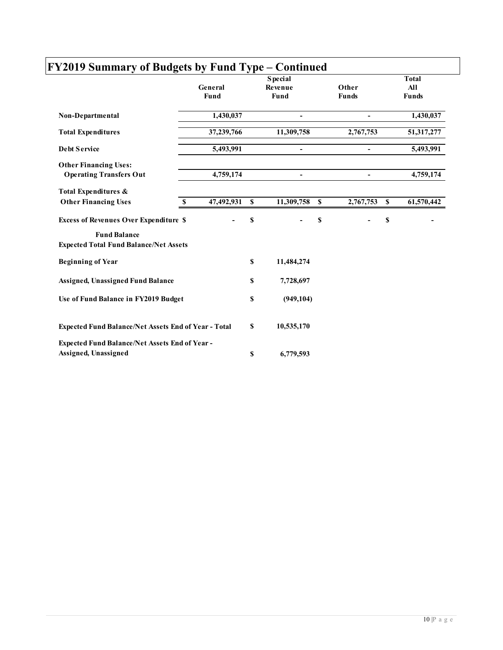|                                                                      | General<br>Fund  |             | <b>Special</b><br>Revenue<br>Fund |             | Other<br><b>Funds</b> |          | <b>Total</b><br><b>All</b><br><b>Funds</b> |
|----------------------------------------------------------------------|------------------|-------------|-----------------------------------|-------------|-----------------------|----------|--------------------------------------------|
| Non-Departmental                                                     | 1,430,037        |             |                                   |             | $\blacksquare$        |          | 1,430,037                                  |
| <b>Total Expenditures</b>                                            | 37,239,766       |             | 11,309,758                        |             | 2,767,753             |          | 51,317,277                                 |
| <b>Debt Service</b>                                                  | 5,493,991        |             |                                   |             | $\blacksquare$        |          | 5,493,991                                  |
| <b>Other Financing Uses:</b><br><b>Operating Transfers Out</b>       | 4,759,174        |             |                                   |             |                       |          | 4,759,174                                  |
| Total Expenditures &                                                 |                  |             |                                   |             |                       |          |                                            |
| <b>Other Financing Uses</b>                                          | 47,492,931<br>-S | S           | 11,309,758                        | <b>S</b>    | 2,767,753             | <b>S</b> | 61,570,442                                 |
| <b>Excess of Revenues Over Expenditure \$</b>                        |                  | $\mathbf S$ |                                   | $\mathbf S$ |                       | \$       |                                            |
| <b>Fund Balance</b><br><b>Expected Total Fund Balance/Net Assets</b> |                  |             |                                   |             |                       |          |                                            |
| <b>Beginning of Year</b>                                             |                  | \$          | 11,484,274                        |             |                       |          |                                            |
| <b>Assigned, Unassigned Fund Balance</b>                             |                  | \$          | 7,728,697                         |             |                       |          |                                            |
| Use of Fund Balance in FY2019 Budget                                 |                  | \$          | (949, 104)                        |             |                       |          |                                            |
| Expected Fund Balance/Net Assets End of Year - Total                 |                  | \$          | 10,535,170                        |             |                       |          |                                            |
| Expected Fund Balance/Net Assets End of Year -                       |                  |             |                                   |             |                       |          |                                            |
| Assigned, Unassigned                                                 |                  | \$          | 6,779,593                         |             |                       |          |                                            |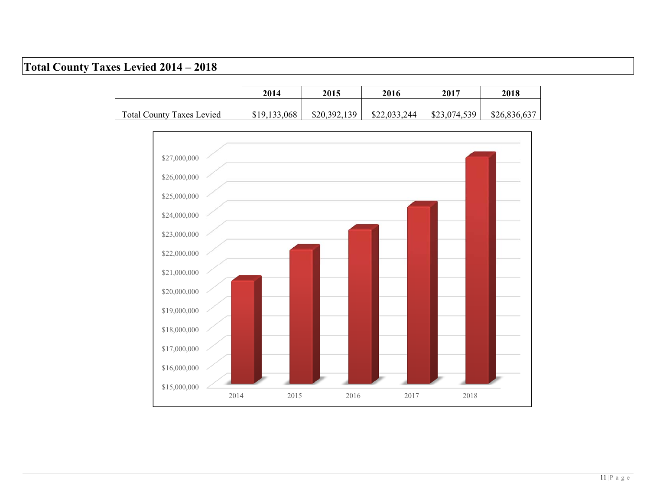### **Total County Taxes Levied 2014 – 2018**

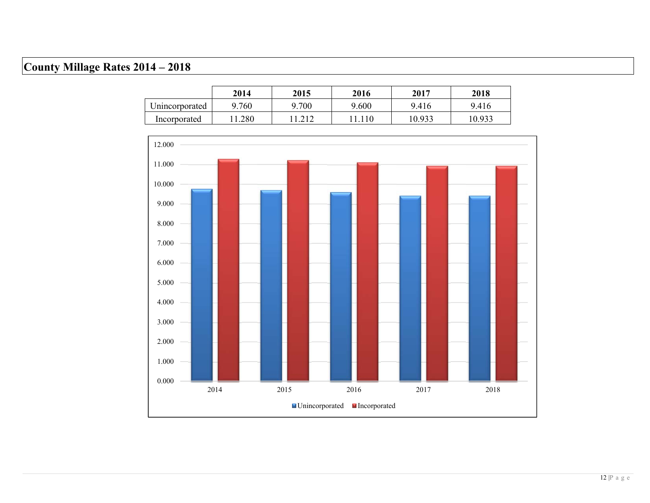# **County Millage Rates 2014 – 2018**

|                | 2014  | 2015  | 2016  | 2017   | 2018   |
|----------------|-------|-------|-------|--------|--------|
| Unincorporated | 9.760 | 9.700 | 9.600 | 9.416  | 9.416  |
| Incorporated   | .280  |       |       | 10.933 | 10.933 |